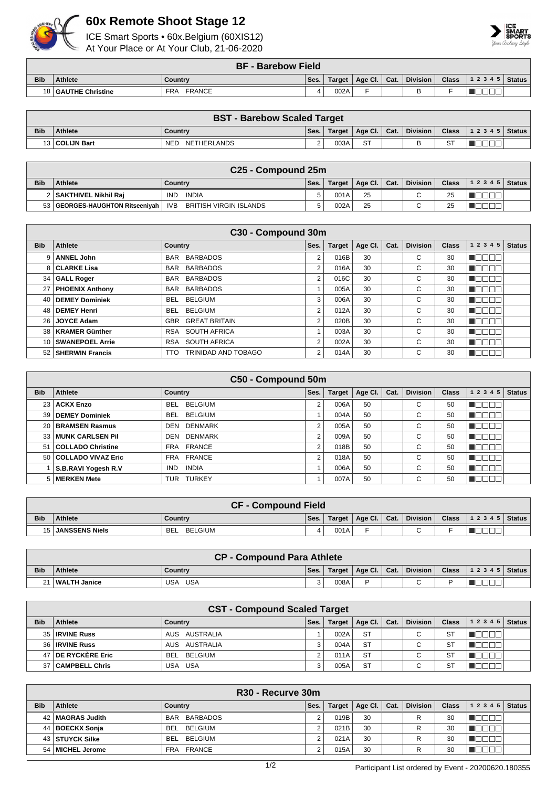

## **60x Remote Shoot Stage 12**

ICE Smart Sports • 60x.Belgium (60XIS12) At Your Place or At Your Club, 21-06-2020



|            | <b>BF - Barebow Field</b> |                             |      |        |                |  |                 |              |                    |  |  |  |
|------------|---------------------------|-----------------------------|------|--------|----------------|--|-----------------|--------------|--------------------|--|--|--|
| <b>Bib</b> | <b>Athlete</b>            | Country                     | Ses. | Target | Age Cl.   Cat. |  | <b>Division</b> | <b>Class</b> | 1 2 3 4 5   Status |  |  |  |
|            | 18 GAUTHE Christine       | <b>FRANCE</b><br><b>FRA</b> |      | 002A   |                |  | -               |              |                    |  |  |  |

| <b>BST - Barebow Scaled Target</b> |                  |                    |      |        |                            |  |          |    |                                |  |  |  |
|------------------------------------|------------------|--------------------|------|--------|----------------------------|--|----------|----|--------------------------------|--|--|--|
| <b>Bib</b>                         | <b>Athlete</b>   | Country            | Ses. | Target | $\mid$ Age Cl. $\mid$ Cat. |  | Division |    | Class $\vert$ 1 2 3 4 5 Status |  |  |  |
|                                    | 13   COLIJN Bart | NETHERLANDS<br>NED |      | 003A   | <b>ST</b>                  |  |          | ST |                                |  |  |  |

| C <sub>25</sub> - Compound 25m |                                   |                                      |      |        |                            |  |                 |    |                                |  |  |  |
|--------------------------------|-----------------------------------|--------------------------------------|------|--------|----------------------------|--|-----------------|----|--------------------------------|--|--|--|
| <b>Bib</b>                     | <b>Athlete</b>                    | Country                              | Ses. | Target | $\mid$ Age Cl. $\mid$ Cat. |  | <b>Division</b> |    | Class $\vert$ 1 2 3 4 5 Status |  |  |  |
|                                | 2   SAKTHIVEL Nikhil Rai          | INDIA<br><b>IND</b>                  |      | 001A   | 25                         |  |                 | 25 |                                |  |  |  |
|                                | 53   GEORGES-HAUGHTON Ritseeniyah | <b>IVB</b><br>BRITISH VIRGIN ISLANDS |      | 002A   | 25                         |  |                 | 25 |                                |  |  |  |

| C30 - Compound 30m |                       |                               |      |               |         |      |                 |              |               |               |  |  |
|--------------------|-----------------------|-------------------------------|------|---------------|---------|------|-----------------|--------------|---------------|---------------|--|--|
| <b>Bib</b>         | Athlete               | Country                       | Ses. | <b>Target</b> | Age Cl. | Cat. | <b>Division</b> | <b>Class</b> | 1 2 3 4 5     | <b>Status</b> |  |  |
| 9                  | <b>ANNEL John</b>     | <b>BARBADOS</b><br><b>BAR</b> | 2    | 016B          | 30      |      | С               | 30           |               |               |  |  |
|                    | 8 CLARKE Lisa         | BAR BARBADOS                  | 2    | 016A          | 30      |      | С               | 30           |               |               |  |  |
|                    | 34   GALL Roger       | BARBADOS<br>BAR               | 2    | 016C          | 30      |      | С               | 30           | N EN EN E     |               |  |  |
|                    | 27   PHOENIX Anthony  | <b>BARBADOS</b><br>BAR        |      | 005A          | 30      |      | С               | 30           | TOOOO         |               |  |  |
| 40 I               | <b>DEMEY Dominiek</b> | <b>BELGIUM</b><br>BEL.        | 3    | 006A          | 30      |      | С               | 30           | TOOOO         |               |  |  |
|                    | 48   DEMEY Henri      | <b>BELGIUM</b><br>BEL         | 2    | 012A          | 30      |      | С               | 30           | HH 11         |               |  |  |
|                    | 26 JOYCE Adam         | <b>GREAT BRITAIN</b><br>GBR.  | 2    | 020B          | 30      |      | С               | 30           | N BIB BIB     |               |  |  |
|                    | 38   KRAMER Günther   | RSA SOUTH AFRICA              |      | 003A          | 30      |      | С               | 30           | n je je je je |               |  |  |
|                    | 10   SWANEPOEL Arrie  | SOUTH AFRICA<br><b>RSA</b>    | 2    | 002A          | 30      |      | С               | 30           | HOOO          |               |  |  |
|                    | 52   SHERWIN Francis  | TRINIDAD AND TOBAGO<br>TTO.   | 2    | 014A          | 30      |      | С               | 30           |               |               |  |  |

| C50 - Compound 50m |                       |                              |                |               |         |      |                 |              |                            |  |  |  |
|--------------------|-----------------------|------------------------------|----------------|---------------|---------|------|-----------------|--------------|----------------------------|--|--|--|
| <b>Bib</b>         | Athlete               | Country                      | Ses.           | <b>Target</b> | Age Cl. | Cat. | <b>Division</b> | <b>Class</b> | <b>Status</b><br>1 2 3 4 5 |  |  |  |
|                    | 23 ACKX Enzo          | <b>BELGIUM</b><br><b>BEL</b> | 2              | 006A          | 50      |      | С               | 50           |                            |  |  |  |
| 39                 | <b>DEMEY Dominiek</b> | <b>BELGIUM</b><br><b>BEL</b> |                | 004A          | 50      |      | С               | 50           |                            |  |  |  |
|                    | 20 BRAMSEN Rasmus     | <b>DENMARK</b><br>DEN        | $\overline{2}$ | 005A          | 50      |      | С               | 50           |                            |  |  |  |
|                    | 33 MUNK CARLSEN Pil   | <b>DENMARK</b><br>DEN        | $\overline{2}$ | 009A          | 50      |      | C               | 50           | - 11                       |  |  |  |
| 51                 | COLLADO Christine     | FRA FRANCE                   | 2              | 018B          | 50      |      | С               | 50           | ЛC                         |  |  |  |
|                    | 50 COLLADO VIVAZ Eric | FRA FRANCE                   | $\overline{2}$ | 018A          | 50      |      | С               | 50           |                            |  |  |  |
|                    | S.B.RAVI Yogesh R.V   | <b>INDIA</b><br><b>IND</b>   |                | 006A          | 50      |      | C               | 50           | - 11                       |  |  |  |
|                    | 5   MERKEN Mete       | <b>TURKEY</b><br><b>TUR</b>  |                | 007A          | 50      |      | С               | 50           |                            |  |  |  |

| <b>CF - Compound Field</b> |                   |                       |      |      |                         |  |          |              |                  |  |  |
|----------------------------|-------------------|-----------------------|------|------|-------------------------|--|----------|--------------|------------------|--|--|
| <b>Bib</b>                 | <b>Athlete</b>    | Country               | Ses. |      | Target   Age Cl.   Cat. |  | Division | <b>Class</b> | $ 12345 $ Status |  |  |
|                            | 15 JANSSENS Niels | BELGIUM<br><b>BEL</b> |      | 001A |                         |  | $\sim$   |              |                  |  |  |

| <b>CP - Compound Para Athlete</b> |                  |                   |      |      |                         |  |          |  |                                        |  |  |
|-----------------------------------|------------------|-------------------|------|------|-------------------------|--|----------|--|----------------------------------------|--|--|
| <b>Bib</b>                        | <b>Athlete</b>   | Country           | Ses. |      | Target   Age Cl.   Cat. |  | Division |  | Class $\vert$ 1 2 3 4 5 $\vert$ Status |  |  |
|                                   | ∣ I WALTH Janice | <b>USA</b><br>USA | 3    | 008A |                         |  | ⌒        |  |                                        |  |  |

| <b>CST - Compound Scaled Target</b> |                       |                       |      |               |           |      |                 |              |       |               |  |  |
|-------------------------------------|-----------------------|-----------------------|------|---------------|-----------|------|-----------------|--------------|-------|---------------|--|--|
| <b>Bib</b>                          | <b>Athlete</b>        | Country               | Ses. | <b>Target</b> | Age Cl.   | Cat. | <b>Division</b> | <b>Class</b> | 12345 | <b>Status</b> |  |  |
|                                     | 35   IRVINE Russ      | AUS AUSTRALIA         |      | 002A          | <b>ST</b> |      | C.              | <b>ST</b>    |       |               |  |  |
|                                     | 36 <b>IRVINE Russ</b> | AUS AUSTRALIA         | 3    | 004A          | <b>ST</b> |      | C.              | <b>ST</b>    |       |               |  |  |
|                                     | 47 DE RYCKÈRE Eric    | BELGIUM<br><b>BEL</b> |      | 011A          | <b>ST</b> |      | C.              | <b>ST</b>    |       |               |  |  |
|                                     | 37   CAMPBELL Chris   | USA USA               | 3    | 005A          | <b>ST</b> |      |                 | <b>ST</b>    |       |               |  |  |

|            | R <sub>30</sub> - Recurve 30m |                      |      |               |         |      |                 |              |       |               |  |  |  |
|------------|-------------------------------|----------------------|------|---------------|---------|------|-----------------|--------------|-------|---------------|--|--|--|
| <b>Bib</b> | Athlete                       | Country              | Ses. | <b>Target</b> | Age Cl. | Cat. | <b>Division</b> | <b>Class</b> | 12345 | <b>Status</b> |  |  |  |
|            | 42 MAGRAS Judith              | BAR BARBADOS         |      | 019B          | 30      |      | R               | 30           |       |               |  |  |  |
|            | 44   BOECKX Sonja             | BELGIUM<br>BEL.      |      | 021B          | 30      |      | R               | 30           |       |               |  |  |  |
|            | 43   STUYCK Silke             | BEL<br>BELGIUM       |      | 021A          | 30      |      | R               | 30           |       |               |  |  |  |
|            | 54   MICHEL Jerome            | <b>FRANCE</b><br>FRA |      | 015A          | 30      |      | R               | 30           |       |               |  |  |  |